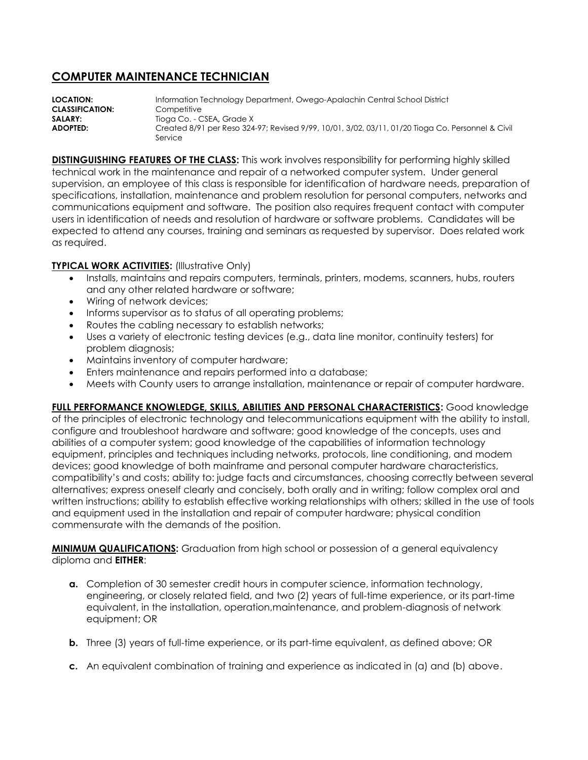## **COMPUTER MAINTENANCE TECHNICIAN**

**LOCATION:** Information Technology Department, Owego-Apalachin Central School District **CLASSIFICATION:** Competitive **SALARY:** Tioga Co. - CSEA, Grade X **ADOPTED:** Created 8/91 per Reso 324-97; Revised 9/99, 10/01, 3/02, 03/11, 01/20 Tioga Co. Personnel & Civil Service

**DISTINGUISHING FEATURES OF THE CLASS:** This work involves responsibility for performing highly skilled technical work in the maintenance and repair of a networked computer system. Under general supervision, an employee of this class is responsible for identification of hardware needs, preparation of specifications, installation, maintenance and problem resolution for personal computers, networks and communications equipment and software. The position also requires frequent contact with computer users in identification of needs and resolution of hardware or software problems. Candidates will be expected to attend any courses, training and seminars as requested by supervisor.Does related work as required.

## **TYPICAL WORK ACTIVITIES: (Illustrative Only)**

- Installs, maintains and repairs computers, terminals, printers, modems, scanners, hubs, routers and any other related hardware or software;
- Wiring of network devices;
- Informs supervisor as to status of all operating problems;
- Routes the cabling necessary to establish networks;
- Uses a variety of electronic testing devices (e.g., data line monitor, continuity testers) for problem diagnosis;
- Maintains inventory of computer hardware;
- Enters maintenance and repairs performed into a database;
- Meets with County users to arrange installation, maintenance or repair of computer hardware.

**FULL PERFORMANCE KNOWLEDGE, SKILLS, ABILITIES AND PERSONAL CHARACTERISTICS:** Good knowledge of the principles of electronic technology and telecommunications equipment with the ability to install, configure and troubleshoot hardware and software; good knowledge of the concepts, uses and abilities of a computer system; good knowledge of the capabilities of information technology equipment, principles and techniques including networks, protocols, line conditioning, and modem devices; good knowledge of both mainframe and personal computer hardware characteristics, compatibility's and costs; ability to: judge facts and circumstances, choosing correctly between several alternatives; express oneself clearly and concisely, both orally and in writing; follow complex oral and written instructions; ability to establish effective working relationships with others; skilled in the use of tools and equipment used in the installation and repair of computer hardware; physical condition commensurate with the demands of the position.

**MINIMUM QUALIFICATIONS:** Graduation from high school or possession of a general equivalency diploma and **EITHER**:

- **a.** Completion of 30 semester credit hours in computer science, information technology, engineering, or closely related field, and two (2) years of full-time experience, or its part-time equivalent, in the installation, operation,maintenance, and problem-diagnosis of network equipment; OR
- **b.** Three (3) years of full-time experience, or its part-time equivalent, as defined above; OR
- **c.** An equivalent combination of training and experience as indicated in (a) and (b) above.